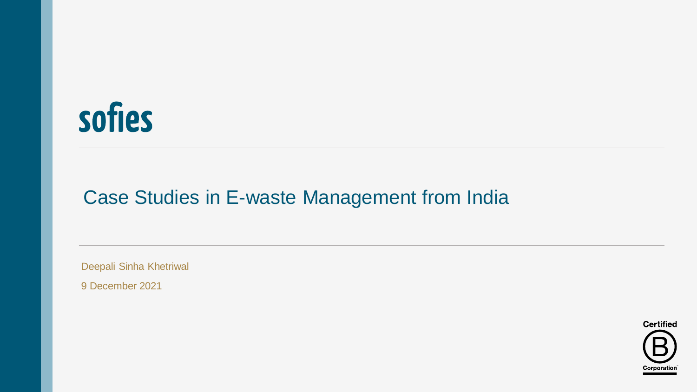

# Case Studies in E-waste Management from India

Deepali Sinha Khetriwal

9 December 2021

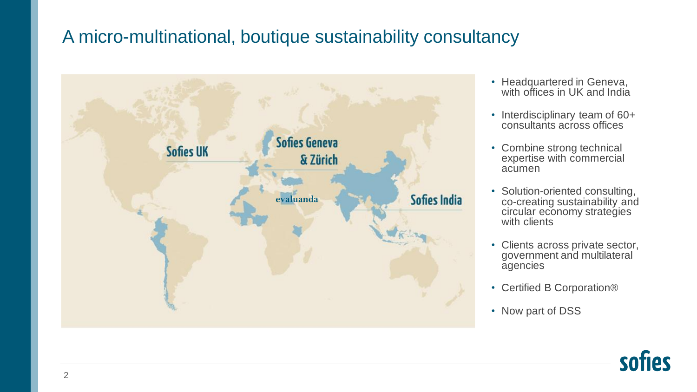# A micro-multinational, boutique sustainability consultancy



- Headquartered in Geneva, with offices in UK and India
- Interdisciplinary team of 60+ consultants across offices
- Combine strong technical expertise with commercial acumen
- Solution-oriented consulting, co-creating sustainability and circular economy strategies with clients
- Clients across private sector, government and multilateral agencies
- Certified B Corporation®
- Now part of DSS

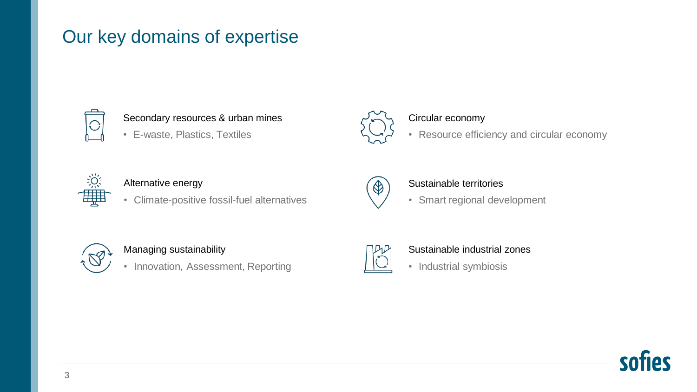# Our key domains of expertise



#### Secondary resources & urban mines

• E-waste, Plastics, Textiles



#### Circular economy

• Resource efficiency and circular economy



#### Alternative energy

• Climate-positive fossil-fuel alternatives



#### Sustainable territories

• Smart regional development



#### Managing sustainability

• Innovation, Assessment, Reporting



#### Sustainable industrial zones

• Industrial symbiosis

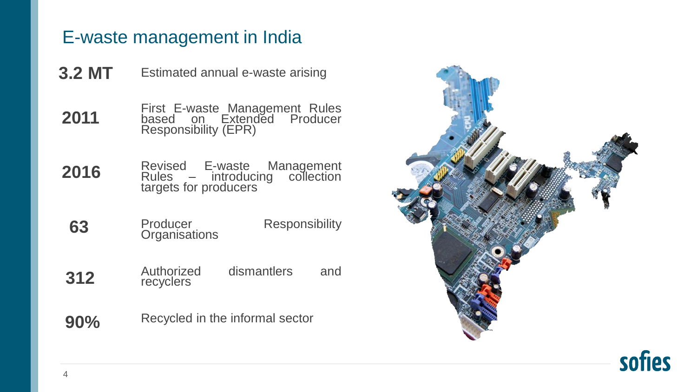# E-waste management in India

- Estimated annual e-waste arising **3.2 MT**
- First E-waste Management Rules based on Extended Producer Responsibility (EPR) **2011**
- Revised E-waste Management Rules – introducing collection targets for producers **2016**
- Producer Responsibility **Organisations 63**
- Authorized dismantlers and recyclers **312**
- Recycled in the informal sector **90%**



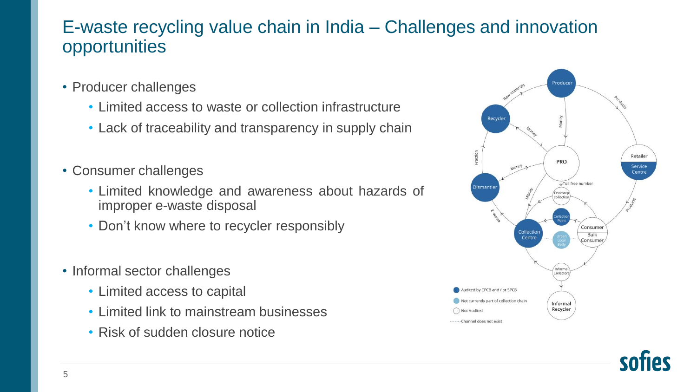## E-waste recycling value chain in India – Challenges and innovation opportunities

- Producer challenges
	- Limited access to waste or collection infrastructure
	- Lack of traceability and transparency in supply chain
- Consumer challenges
	- Limited knowledge and awareness about hazards of improper e-waste disposal
	- Don't know where to recycler responsibly
- Informal sector challenges
	- Limited access to capital
	- Limited link to mainstream businesses
	- Risk of sudden closure notice



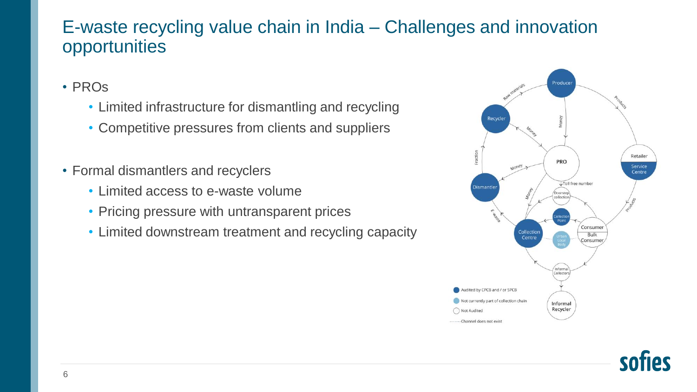### E-waste recycling value chain in India – Challenges and innovation opportunities

- PROs
	- Limited infrastructure for dismantling and recycling
	- Competitive pressures from clients and suppliers
- Formal dismantlers and recyclers
	- Limited access to e-waste volume
	- Pricing pressure with untransparent prices
	- Limited downstream treatment and recycling capacity

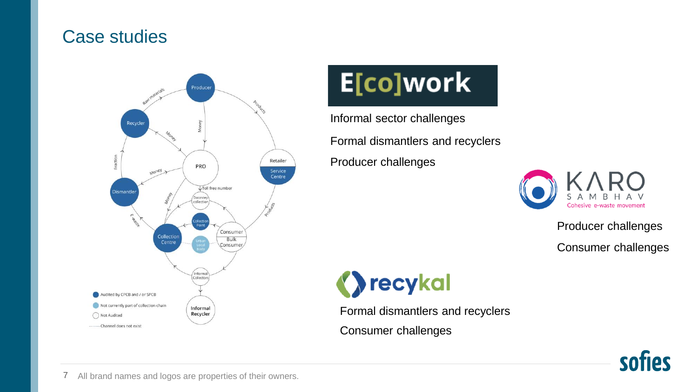#### Case studies



# E[co]work

Informal sector challenges Producer challenges Formal dismantlers and recyclers



Producer challenges Consumer challenges

**D**recykal

Formal dismantlers and recyclers Consumer challenges



7 All brand names and logos are properties of their owners.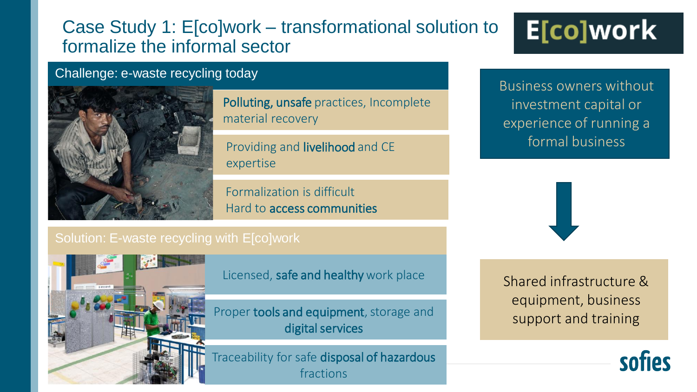## Case Study 1: E[co]work – transformational solution to formalize the informal sector

# E[co]work

#### Challenge: e-waste recycling today



Polluting, unsafe practices, Incomplete material recovery

Providing and livelihood and CE expertise

Formalization is difficult Hard to access communities Business owners without investment capital or experience of running a formal business

![](_page_7_Picture_10.jpeg)

Licensed, safe and healthy work place

Proper tools and equipment, storage and digital services

Traceability for safe disposal of hazardous fractions

Shared infrastructure & equipment, business support and training

![](_page_7_Picture_15.jpeg)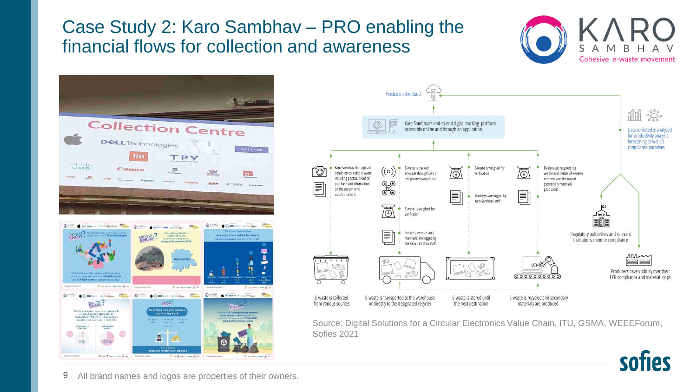# Case Study 2: Karo Sambhav – PRO enabling the financial flows for collection and awareness

![](_page_8_Picture_1.jpeg)

![](_page_8_Picture_2.jpeg)

![](_page_8_Figure_3.jpeg)

Source: Digital Solutions for a Circular Electronics Value Chain, ITU, GSMA, WEEEForum, Sofies 2021

![](_page_8_Picture_5.jpeg)

9 All brand names and logos are properties of their owners.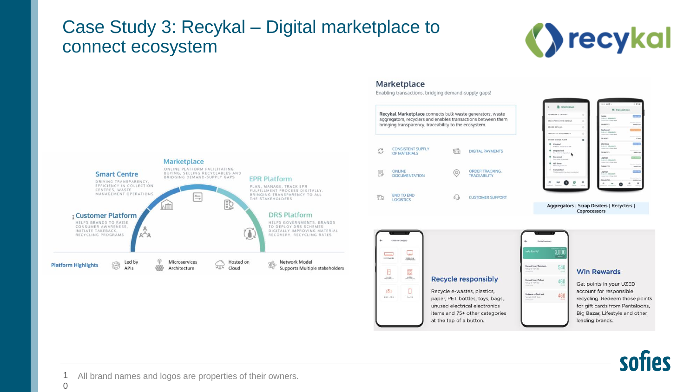### Case Study 3: Recykal – Digital marketplace to connect ecosystem

![](_page_9_Picture_1.jpeg)

![](_page_9_Figure_2.jpeg)

Enabling transactions, bridging demand-supply gaps!

![](_page_9_Figure_4.jpeg)

![](_page_9_Picture_5.jpeg)

![](_page_9_Picture_6.jpeg)

1  $\Omega$ All brand names and logos are properties of their owners.